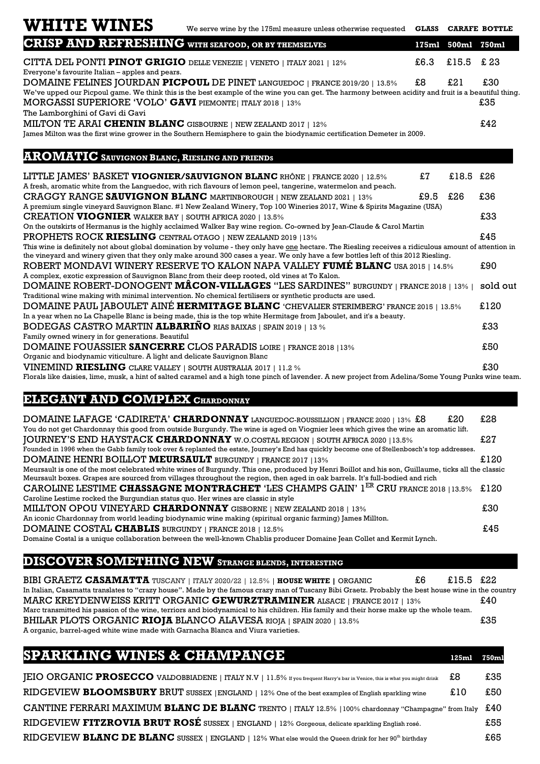## **WHITE WINES**

| We serve wine by the 175ml measure unless otherwise requested <b>GLASS CARAFE BOTTLE</b> |  |  |
|------------------------------------------------------------------------------------------|--|--|
|------------------------------------------------------------------------------------------|--|--|

| <b>CRISP AND REFRESHING</b> WITH SEAFOOD, OR BY THEMSELVES                                                                                                                                                                 |      | 175ml 500ml | 750ml    |
|----------------------------------------------------------------------------------------------------------------------------------------------------------------------------------------------------------------------------|------|-------------|----------|
| CITTA DEL PONTI PINOT GRIGIO DELLE VENEZIE   VENETO   ITALY 2021   12%<br>Everyone's favourite Italian – apples and pears.                                                                                                 | £6.3 | £15.5       | £ 23     |
| DOMAINE FELINES JOURDAN PICPOUL DE PINET LANGUEDOC   FRANCE 2019/20   13.5%                                                                                                                                                | \$8  | £21         | £30      |
| We've upped our Picpoul game. We think this is the best example of the wine you can get. The harmony between acidity and fruit is a beautiful thing.                                                                       |      |             |          |
| MORGASSI SUPERIORE 'VOLO' GAVI PIEMONTE   ITALY 2018   13%                                                                                                                                                                 |      |             | £35      |
| The Lamborghini of Gavi di Gavi                                                                                                                                                                                            |      |             |          |
| MILTON TE ARAI CHENIN BLANC GISBOURNE   NEW ZEALAND 2017   12%                                                                                                                                                             |      |             | £42      |
| James Milton was the first wine grower in the Southern Hemisphere to gain the biodynamic certification Demeter in 2009.                                                                                                    |      |             |          |
|                                                                                                                                                                                                                            |      |             |          |
| <b>AROMATIC</b> SAUVIGNON BLANC, RIESLING AND FRIENDS                                                                                                                                                                      |      |             |          |
| LITTLE JAMES' BASKET VIOGNIER/SAUVIGNON BLANC RHÔNE   FRANCE 2020   12.5%                                                                                                                                                  | £7   | £18.5       | £26      |
| A fresh, aromatic white from the Languedoc, with rich flavours of lemon peel, tangerine, watermelon and peach.                                                                                                             |      |             |          |
| <b>CRAGGY RANGE SAUVIGNON BLANC</b> MARTINBOROUGH   NEW ZEALAND 2021   13%                                                                                                                                                 | £9.5 | £26         | £36      |
| A premium single vineyard Sauvignon Blanc. #1 New Zealand Winery, Top 100 Wineries 2017, Wine & Spirits Magazine (USA)                                                                                                     |      |             |          |
| <b>CREATION VIOGNIER WALKER BAY   SOUTH AFRICA 2020   13.5%</b>                                                                                                                                                            |      |             | £33      |
| On the outskirts of Hermanus is the highly acclaimed Walker Bay wine region. Co-owned by Jean-Claude & Carol Martin                                                                                                        |      |             |          |
| <b>PROPHETS ROCK RIESLING</b> CENTRAL OTAGO   NEW ZEALAND 2019   13%                                                                                                                                                       |      |             | £45      |
| This wine is definitely not about global domination by volume - they only have one hectare. The Riesling receives a ridiculous amount of attention in                                                                      |      |             |          |
| the vineyard and winery given that they only make around 300 cases a year. We only have a few bottles left of this 2012 Riesling.                                                                                          |      |             |          |
| ROBERT MONDAVI WINERY RESERVE TO KALON NAPA VALLEY FUMÉ BLANC USA 2015   14.5%                                                                                                                                             |      |             | £90      |
| A complex, exotic expression of Sauvignon Blanc from their deep rooted, old vines at To Kalon.                                                                                                                             |      |             |          |
| DOMAINE ROBERT-DONOGENT MÂCON-VILLAGES "LES SARDINES" BURGUNDY   FRANCE 2018   13%                                                                                                                                         |      |             | sold out |
| Traditional wine making with minimal intervention. No chemical fertilisers or synthetic products are used.                                                                                                                 |      |             |          |
| DOMAINE PAUL JABOULET AINÉ HERMITAGE BLANC 'CHEVALIER STERIMBERG' FRANCE 2015   13.5%                                                                                                                                      |      |             | £120     |
| In a year when no La Chapelle Blanc is being made, this is the top white Hermitage from Jaboulet, and it's a beauty.                                                                                                       |      |             |          |
| <b>BODEGAS CASTRO MARTIN ALBARIÑO RIAS BAIXAS   SPAIN 2019   13 %</b>                                                                                                                                                      |      |             | £33      |
| Family owned winery in for generations. Beautiful                                                                                                                                                                          |      |             |          |
| <b>DOMAINE FOUASSIER SANCERRE CLOS PARADIS LOIRE   FRANCE 2018   13%</b>                                                                                                                                                   |      |             | £50      |
| Organic and biodynamic viticulture. A light and delicate Sauvignon Blanc                                                                                                                                                   |      |             |          |
| VINEMIND RIESLING CLARE VALLEY   SOUTH AUSTRALIA 2017   11.2 %<br>Florals like daisies, lime, musk a bint of salted garamal and a bigh tone pinsh of lavander. $\hbar$ new project from $\hbar$ deline (Same Voung Bunks u |      |             | £30      |

Florals like daisies, lime, musk, a hint of salted caramel and a high tone pinch of lavender. A new project from Adelina/Some Young Punks wine team.

## $ELEGANT AND COMPLEX CHARDONNAY$

| <b>DOMAINE LAFAGE 'CADIRETA' CHARDONNAY</b> LANGUEDOC-ROUSSILLION   FRANCE 2020   13% £8<br>£20                                                                                                                                                                                    | £28  |
|------------------------------------------------------------------------------------------------------------------------------------------------------------------------------------------------------------------------------------------------------------------------------------|------|
| You do not get Chardonnay this good from outside Burgundy. The wine is aged on Viognier lees which gives the wine an aromatic lift.                                                                                                                                                |      |
| <b>JOURNEY'S END HAYSTACK CHARDONNAY</b> W.O.COSTAL REGION   SOUTH AFRICA 2020   13.5%                                                                                                                                                                                             | £27  |
| Founded in 1996 when the Gabb family took over & replanted the estate, Journey's End has quickly become one of Stellenbosch's top addresses.                                                                                                                                       |      |
| <b>DOMAINE HENRI BOILLOT MEURSAULT</b> BURGUNDY   FRANCE 2017   13%                                                                                                                                                                                                                | £120 |
| Meursault is one of the most celebrated white wines of Burgundy. This one, produced by Henri Boillot and his son, Guillaume, ticks all the classic<br>Meursault boxes. Grapes are sourced from villages throughout the region, then aged in oak barrels. It's full-bodied and rich |      |
| CAROLINE LESTIME CHASSAGNE MONTRACHET 'LES CHAMPS GAIN' $1^{ER}$ CRU FRANCE 2018   13.5% £120                                                                                                                                                                                      |      |
| Caroline Lestime rocked the Burgundian status quo. Her wines are classic in style                                                                                                                                                                                                  |      |
| MILLTON OPOU VINEYARD CHARDONNAY GISBORNE   NEW ZEALAND 2018   13%                                                                                                                                                                                                                 | £30  |
| An iconic Chardonnay from world leading biodynamic wine making (spiritual organic farming) James Millton.                                                                                                                                                                          |      |
| DOMAINE COSTAL CHABLIS BURGUNDY   FRANCE 2018   12.5%                                                                                                                                                                                                                              | £45  |
| Domaine Costal is a unique collaboration between the well-known Chablis producer Domaine Jean Collet and Kermit Lynch.                                                                                                                                                             |      |

## **DISCOVER SOMETHING NEW STRANGE BLENDS, INTERESTING**

| BIBI GRAETZ CASAMATTA TUSCANY   ITALY 2020/22   12.5%   HOUSE WHITE   ORGANIC                                                                       | £15.5 £22<br>£6. |     |
|-----------------------------------------------------------------------------------------------------------------------------------------------------|------------------|-----|
| In Italian, Casamatta translates to "crazy house". Made by the famous crazy man of Tuscany Bibi Graetz. Probably the best house wine in the country |                  |     |
| MARC KREYDENWEISS KRITT ORGANIC GEWURZTRAMINER ALSACE   FRANCE 2017   13%                                                                           |                  | £40 |
| Marc transmitted his passion of the wine, terriors and biodynamical to his children. His family and their horse make up the whole team.             |                  |     |
| BHILAR PLOTS ORGANIC RIOJA BLANCO ALAVESA RIOJA   SPAIN 2020   13.5%                                                                                |                  | £35 |
| A organic, barrel-aged white wine made with Garnacha Blanca and Viura varieties.                                                                    |                  |     |

**SPARKLING WINES & CHAMPANGE 125ml 750ml** JEIO ORGANIC PROSECCO VALDOBBIADENE | ITALY N.V | 11.5% If you frequent Harry's bar in Venice, this is what you might drink £8 £35 RIDGEVIEW BLOOMSBURY BRUT SUSSEX | ENGLAND | 12% One of the best examples of English sparkling wine £10 £50 CANTINE FERRARI MAXIMUM **BLANC DE BLANC** TRENTO | ITALY 12.5% | 100% chardonnay "Champagne" from Italy £40 RIDGEVIEW **FITZROVIA BRUT ROSÉ** SUSSEX | ENGLAND | 12% Gorgeous, delicate sparkling English rosé.  $£55$ RIDGEVIEW **BLANC DE BLANC** SUSSEX | ENGLAND | 12% What else would the Queen drink for her 90<sup>th</sup> birthday  $£65$